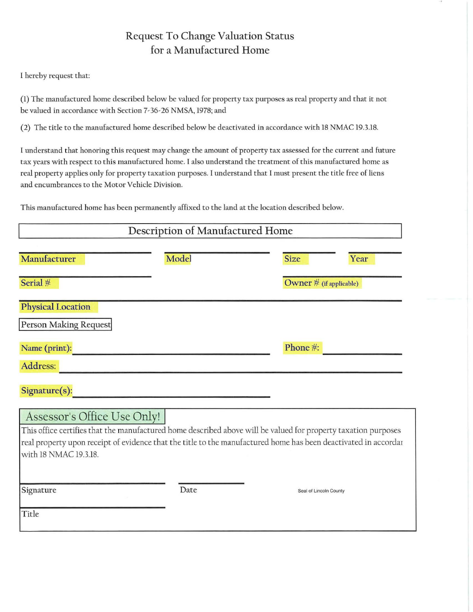## Request To Change Valuation Status for a Manufactured Home

I hereby request that:

(1) The manufactured home described below be valued for property tax purposes as real property and t hat it not be valued in accordance with Section 7-36-26 NMSA, 1978; and

(2) The title to the manufactured home described below be deactivated in accordance with 18 NMAC 19.3.18.

I understand that honoring this request may change the amount of property tax assessed for the current and future tax years with respect to this manufactured home. I also understand the treatment of this manufactured home as real property applies only for property taxation purposes. I understand that I must present the title free of liens and encumbrances to the Motor Vehicle Division.

This manufactured home has been permanently affixed to the land at the location described below.

| Description of Manufactured Home                                                                                                                                                                                                                                                          |       |                         |
|-------------------------------------------------------------------------------------------------------------------------------------------------------------------------------------------------------------------------------------------------------------------------------------------|-------|-------------------------|
| Manufacturer                                                                                                                                                                                                                                                                              | Model | <b>Size</b><br>Year     |
| Serial #                                                                                                                                                                                                                                                                                  |       | Owner # (if applicable) |
| <b>Physical Location</b><br>Person Making Request                                                                                                                                                                                                                                         |       |                         |
| Name (print):                                                                                                                                                                                                                                                                             |       | Phone #:                |
| Address:                                                                                                                                                                                                                                                                                  |       |                         |
| Signature(s):                                                                                                                                                                                                                                                                             |       |                         |
| Assessor's Office Use Only!<br>This office certifies that the manufactured home described above will be valued for property taxation purposes<br>real property upon receipt of evidence that the title to the manufactured home has been deactivated in accordar<br>with 18 NMAC 19.3.18. |       |                         |
| Signature                                                                                                                                                                                                                                                                                 | Date  | Seal of Lincoln County  |
| Title                                                                                                                                                                                                                                                                                     |       |                         |